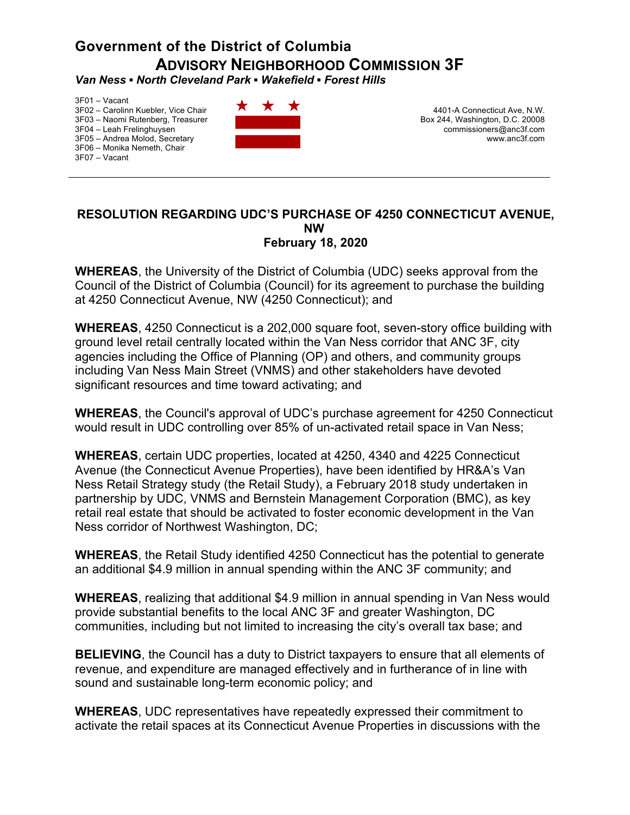## **Government of the District of Columbia ADVISORY NEIGHBORHOOD COMMISSION 3F**

*Van Ness ▪ North Cleveland Park ▪ Wakefield ▪ Forest Hills* 

3F01 – Vacant 3F02 – Carolinn Kuebler, Vice Chair 3F03 – Naomi Rutenberg, Treasurer 3F04 – Leah Frelinghuysen 3F05 – Andrea Molod, Secretary 3F06 – Monika Nemeth, Chair 3F07 – Vacant



4401-A Connecticut Ave, N.W. Box 244, Washington, D.C. 20008 commissioners@anc3f.com www.anc3f.com

## **RESOLUTION REGARDING UDC'S PURCHASE OF 4250 CONNECTICUT AVENUE, NW February 18, 2020**

**WHEREAS**, the University of the District of Columbia (UDC) seeks approval from the Council of the District of Columbia (Council) for its agreement to purchase the building at 4250 Connecticut Avenue, NW (4250 Connecticut); and

**WHEREAS**, 4250 Connecticut is a 202,000 square foot, seven-story office building with ground level retail centrally located within the Van Ness corridor that ANC 3F, city agencies including the Office of Planning (OP) and others, and community groups including Van Ness Main Street (VNMS) and other stakeholders have devoted significant resources and time toward activating; and

**WHEREAS**, the Council's approval of UDC's purchase agreement for 4250 Connecticut would result in UDC controlling over 85% of un-activated retail space in Van Ness;

**WHEREAS**, certain UDC properties, located at 4250, 4340 and 4225 Connecticut Avenue (the Connecticut Avenue Properties), have been identified by HR&A's Van Ness Retail Strategy study (the Retail Study), a February 2018 study undertaken in partnership by UDC, VNMS and Bernstein Management Corporation (BMC), as key retail real estate that should be activated to foster economic development in the Van Ness corridor of Northwest Washington, DC;

**WHEREAS**, the Retail Study identified 4250 Connecticut has the potential to generate an additional \$4.9 million in annual spending within the ANC 3F community; and

**WHEREAS**, realizing that additional \$4.9 million in annual spending in Van Ness would provide substantial benefits to the local ANC 3F and greater Washington, DC communities, including but not limited to increasing the city's overall tax base; and

**BELIEVING**, the Council has a duty to District taxpayers to ensure that all elements of revenue, and expenditure are managed effectively and in furtherance of in line with sound and sustainable long-term economic policy; and

**WHEREAS**, UDC representatives have repeatedly expressed their commitment to activate the retail spaces at its Connecticut Avenue Properties in discussions with the